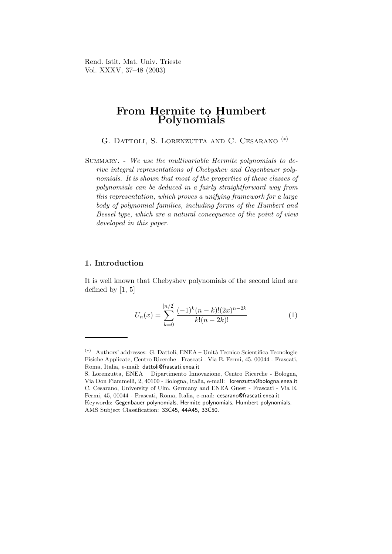Rend. Istit. Mat. Univ. Trieste Vol. XXXV, 37–48 (2003)

# From Hermite to Humbert Polynomials

G. DATTOLI, S. LORENZUTTA AND C. CESARANO <sup>(\*)</sup>

SUMMARY. - We use the multivariable Hermite polynomials to derive integral representations of Chebyshev and Gegenbauer polynomials. It is shown that most of the properties of these classes of polynomials can be deduced in a fairly straightforward way from this representation, which proves a unifying framework for a large body of polynomial families, including forms of the Humbert and Bessel type, which are a natural consequence of the point of view developed in this paper.

### 1. Introduction

It is well known that Chebyshev polynomials of the second kind are defined by [1, 5]

$$
U_n(x) = \sum_{k=0}^{[n/2]} \frac{(-1)^k (n-k)!(2x)^{n-2k}}{k!(n-2k)!}
$$
 (1)

 $(*)$  Authors' addresses: G. Dattoli, ENEA – Unità Tecnico Scientifica Tecnologie Fisiche Applicate, Centro Ricerche - Frascati - Via E. Fermi, 45, 00044 - Frascati, Roma, Italia, e-mail: dattoli@frascati.enea.it

S. Lorenzutta, ENEA – Dipartimento Innovazione, Centro Ricerche - Bologna, Via Don Fiammelli, 2, 40100 - Bologna, Italia, e-mail: lorenzutta@bologna.enea.it C. Cesarano, University of Ulm, Germany and ENEA Guest - Frascati - Via E. Fermi, 45, 00044 - Frascati, Roma, Italia, e-mail: cesarano@frascati.enea.it Keywords: Gegenbauer polynomials, Hermite polynomials, Humbert polynomials. AMS Subject Classification: 33C45, 44A45, 33C50.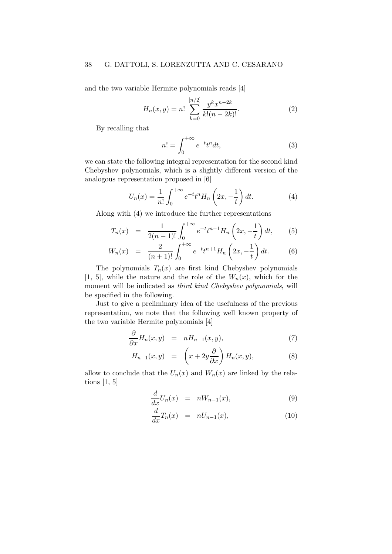and the two variable Hermite polynomials reads [4]

$$
H_n(x,y) = n! \sum_{k=0}^{[n/2]} \frac{y^k x^{n-2k}}{k!(n-2k)!}.
$$
 (2)

By recalling that

$$
n! = \int_0^{+\infty} e^{-t} t^n dt,
$$
\n(3)

we can state the following integral representation for the second kind Chebyshev polynomials, which is a slightly different version of the analogous representation proposed in [6]

$$
U_n(x) = \frac{1}{n!} \int_0^{+\infty} e^{-t} t^n H_n\left(2x, -\frac{1}{t}\right) dt.
$$
 (4)

Along with (4) we introduce the further representations

$$
T_n(x) = \frac{1}{2(n-1)!} \int_0^{+\infty} e^{-t} t^{n-1} H_n\left(2x, -\frac{1}{t}\right) dt, \qquad (5)
$$

$$
W_n(x) = \frac{2}{(n+1)!} \int_0^{+\infty} e^{-t} t^{n+1} H_n\left(2x, -\frac{1}{t}\right) dt.
$$
 (6)

The polynomials  $T_n(x)$  are first kind Chebyshev polynomials [1, 5], while the nature and the role of the  $W_n(x)$ , which for the moment will be indicated as third kind Chebyshev polynomials, will be specified in the following.

Just to give a preliminary idea of the usefulness of the previous representation, we note that the following well known property of the two variable Hermite polynomials [4]

$$
\frac{\partial}{\partial x}H_n(x,y) = nH_{n-1}(x,y), \tag{7}
$$

$$
H_{n+1}(x,y) = \left(x + 2y \frac{\partial}{\partial x}\right) H_n(x,y), \tag{8}
$$

allow to conclude that the  $U_n(x)$  and  $W_n(x)$  are linked by the relations [1, 5]

$$
\frac{d}{dx}U_n(x) = nW_{n-1}(x), \qquad (9)
$$

$$
\frac{d}{dx}T_n(x) = nU_{n-1}(x),\tag{10}
$$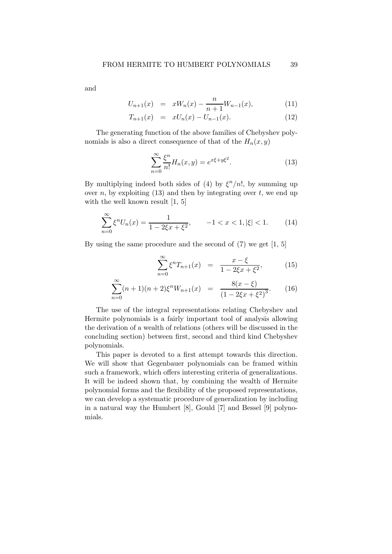and

$$
U_{n+1}(x) = xW_n(x) - \frac{n}{n+1}W_{n-1}(x), \qquad (11)
$$

$$
T_{n+1}(x) = xU_n(x) - U_{n-1}(x). \tag{12}
$$

The generating function of the above families of Chebyshev polynomials is also a direct consequence of that of the  $H_n(x, y)$ 

$$
\sum_{n=0}^{\infty} \frac{\xi^n}{n!} H_n(x, y) = e^{x\xi + y\xi^2}.
$$
 (13)

By multiplying indeed both sides of (4) by  $\xi^{n}/n!$ , by summing up over n, by exploiting  $(13)$  and then by integrating over t, we end up with the well known result  $[1, 5]$ 

$$
\sum_{n=0}^{\infty} \xi^n U_n(x) = \frac{1}{1 - 2\xi x + \xi^2}, \qquad -1 < x < 1, |\xi| < 1. \tag{14}
$$

By using the same procedure and the second of (7) we get [1, 5]

$$
\sum_{n=0}^{\infty} \xi^n T_{n+1}(x) = \frac{x - \xi}{1 - 2\xi x + \xi^2},
$$
 (15)

$$
\sum_{n=0}^{\infty} (n+1)(n+2)\xi^n W_{n+1}(x) = \frac{8(x-\xi)}{(1-2\xi x+\xi^2)^3}.
$$
 (16)

The use of the integral representations relating Chebyshev and Hermite polynomials is a fairly important tool of analysis allowing the derivation of a wealth of relations (others will be discussed in the concluding section) between first, second and third kind Chebyshev polynomials.

This paper is devoted to a first attempt towards this direction. We will show that Gegenbauer polynomials can be framed within such a framework, which offers interesting criteria of generalizations. It will be indeed shown that, by combining the wealth of Hermite polynomial forms and the flexibility of the proposed representations, we can develop a systematic procedure of generalization by including in a natural way the Humbert [8], Gould [7] and Bessel [9] polynomials.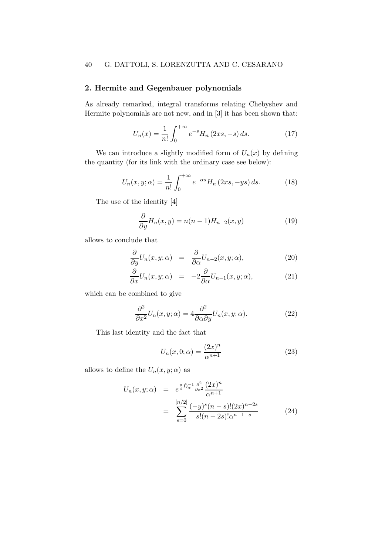## 2. Hermite and Gegenbauer polynomials

As already remarked, integral transforms relating Chebyshev and Hermite polynomials are not new, and in [3] it has been shown that:

$$
U_n(x) = \frac{1}{n!} \int_0^{+\infty} e^{-s} H_n(2xs, -s) \, ds. \tag{17}
$$

We can introduce a slightly modified form of  $U_n(x)$  by defining the quantity (for its link with the ordinary case see below):

$$
U_n(x, y; \alpha) = \frac{1}{n!} \int_0^{+\infty} e^{-\alpha s} H_n\left(2xs, -ys\right) ds.
$$
 (18)

The use of the identity [4]

$$
\frac{\partial}{\partial y}H_n(x,y) = n(n-1)H_{n-2}(x,y)
$$
\n(19)

allows to conclude that

$$
\frac{\partial}{\partial y}U_n(x,y;\alpha) = \frac{\partial}{\partial \alpha}U_{n-2}(x,y;\alpha), \qquad (20)
$$

$$
\frac{\partial}{\partial x}U_n(x,y;\alpha) = -2\frac{\partial}{\partial \alpha}U_{n-1}(x,y;\alpha), \qquad (21)
$$

which can be combined to give

$$
\frac{\partial^2}{\partial x^2} U_n(x, y; \alpha) = 4 \frac{\partial^2}{\partial \alpha \partial y} U_n(x, y; \alpha).
$$
 (22)

This last identity and the fact that

$$
U_n(x,0;\alpha) = \frac{(2x)^n}{\alpha^{n+1}}\tag{23}
$$

allows to define the  $U_n(x, y; \alpha)$  as

$$
U_n(x, y; \alpha) = e^{\frac{y}{4}\hat{D}_\alpha^{-1} \frac{\partial^2}{\partial x^2}} \frac{(2x)^n}{\alpha^{n+1}}
$$
  
= 
$$
\sum_{s=0}^{\lfloor n/2 \rfloor} \frac{(-y)^s (n-s)! (2x)^{n-2s}}{s! (n-2s)! \alpha^{n+1-s}}
$$
(24)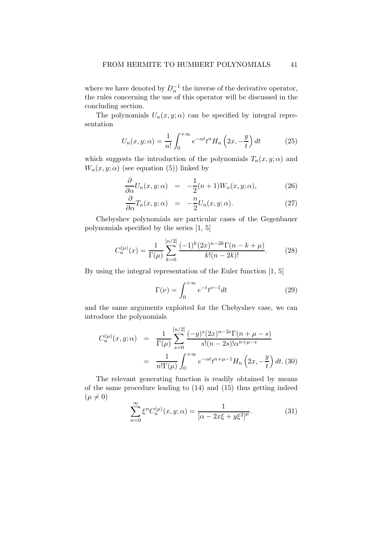where we have denoted by  $D_{\alpha}^{-1}$  the inverse of the derivative operator, the rules concerning the use of this operator will be discussed in the concluding section.

The polynomials  $U_n(x, y; \alpha)$  can be specified by integral representation

$$
U_n(x, y; \alpha) = \frac{1}{n!} \int_0^{+\infty} e^{-\alpha t} t^n H_n\left(2x, -\frac{y}{t}\right) dt \tag{25}
$$

which suggests the introduction of the polynomials  $T_n(x, y; \alpha)$  and  $W_n(x, y; \alpha)$  (see equation (5)) linked by

$$
\frac{\partial}{\partial \alpha} U_n(x, y; \alpha) = -\frac{1}{2}(n+1)W_n(x, y; \alpha), \qquad (26)
$$

$$
\frac{\partial}{\partial \alpha} T_n(x, y; \alpha) = -\frac{n}{2} U_n(x, y; \alpha).
$$
 (27)

Chebyshev polynomials are particular cases of the Gegenbauer polynomials specified by the series [1, 5]

$$
C_n^{(\mu)}(x) = \frac{1}{\Gamma(\mu)} \sum_{k=0}^{[n/2]} \frac{(-1)^k (2x)^{n-2k} \Gamma(n-k+\mu)}{k!(n-2k)!}.
$$
 (28)

By using the integral representation of the Euler function [1, 5]

$$
\Gamma(\nu) = \int_0^{+\infty} e^{-t} t^{\nu - 1} dt
$$
\n(29)

and the same arguments exploited for the Chebyshev case, we can introduce the polynomials

$$
C_n^{(\mu)}(x, y; \alpha) = \frac{1}{\Gamma(\mu)} \sum_{s=0}^{\lfloor n/2 \rfloor} \frac{(-y)^s (2x)^{n-2s} \Gamma(n + \mu - s)}{s!(n - 2s)!\alpha^{n + \mu - s}}
$$
  
= 
$$
\frac{1}{n!\Gamma(\mu)} \int_0^{+\infty} e^{-\alpha t} t^{n + \mu - 1} H_n\left(2x, -\frac{y}{t}\right) dt. (30)
$$

The relevant generating function is readily obtained by means of the same procedure leading to (14) and (15) thus getting indeed  $(\mu \neq 0)$ 

$$
\sum_{n=0}^{\infty} \xi^n C_n^{(\mu)}(x, y; \alpha) = \frac{1}{[\alpha - 2x\xi + y\xi^2]^{\mu}}.
$$
 (31)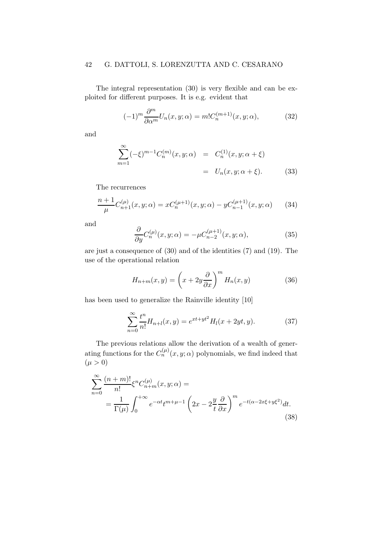### 42 G. DATTOLI, S. LORENZUTTA AND C. CESARANO

The integral representation (30) is very flexible and can be exploited for different purposes. It is e.g. evident that

$$
(-1)^m \frac{\partial^m}{\partial \alpha^m} U_n(x, y; \alpha) = m! C_n^{(m+1)}(x, y; \alpha), \tag{32}
$$

and

$$
\sum_{m=1}^{\infty} (-\xi)^{m-1} C_n^{(m)}(x, y; \alpha) = C_n^{(1)}(x, y; \alpha + \xi)
$$
  
=  $U_n(x, y; \alpha + \xi)$ . (33)

The recurrences

$$
\frac{n+1}{\mu}C_{n+1}^{(\mu)}(x,y;\alpha) = xC_n^{(\mu+1)}(x,y;\alpha) - yC_{n-1}^{(\mu+1)}(x,y;\alpha) \qquad (34)
$$

and

$$
\frac{\partial}{\partial y}C_n^{(\mu)}(x,y;\alpha) = -\mu C_{n-2}^{(\mu+1)}(x,y;\alpha),\tag{35}
$$

are just a consequence of (30) and of the identities (7) and (19). The use of the operational relation

$$
H_{n+m}(x,y) = \left(x + 2y\frac{\partial}{\partial x}\right)^m H_n(x,y) \tag{36}
$$

has been used to generalize the Rainville identity [10]

$$
\sum_{n=0}^{\infty} \frac{t^n}{n!} H_{n+l}(x, y) = e^{xt + yt^2} H_l(x + 2yt, y).
$$
 (37)

The previous relations allow the derivation of a wealth of generating functions for the  $C_n^{(\mu)}(x, y; \alpha)$  polynomials, we find indeed that  $(\mu > 0)$ 

$$
\sum_{n=0}^{\infty} \frac{(n+m)!}{n!} \xi^n C_{n+m}^{(\mu)}(x, y; \alpha) =
$$
  
= 
$$
\frac{1}{\Gamma(\mu)} \int_0^{+\infty} e^{-\alpha t} t^{m+\mu-1} \left(2x - 2\frac{y}{t} \frac{\partial}{\partial x}\right)^m e^{-t(\alpha - 2x\xi + y\xi^2)} dt.
$$
 (38)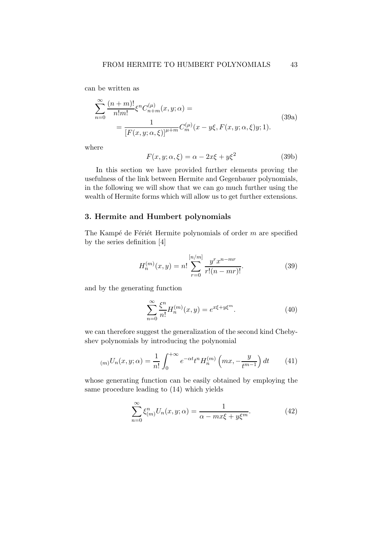can be written as

$$
\sum_{n=0}^{\infty} \frac{(n+m)!}{n!m!} \xi^n C_{n+m}^{(\mu)}(x, y; \alpha) =
$$
\n
$$
= \frac{1}{[F(x, y; \alpha, \xi)]^{\mu+m}} C_m^{(\mu)}(x - y\xi, F(x, y; \alpha, \xi)y; 1).
$$
\n(39a)

where

$$
F(x, y; \alpha, \xi) = \alpha - 2x\xi + y\xi^2
$$
 (39b)

In this section we have provided further elements proving the usefulness of the link between Hermite and Gegenbauer polynomials, in the following we will show that we can go much further using the wealth of Hermite forms which will allow us to get further extensions.

### 3. Hermite and Humbert polynomials

The Kampé de Fériét Hermite polynomials of order  $m$  are specified by the series definition [4]

$$
H_n^{(m)}(x,y) = n! \sum_{r=0}^{[n/m]} \frac{y^r x^{n-mr}}{r!(n-mr)!}.
$$
 (39)

and by the generating function

$$
\sum_{n=0}^{\infty} \frac{\xi^n}{n!} H_n^{(m)}(x, y) = e^{x\xi + y\xi^m}.
$$
 (40)

we can therefore suggest the generalization of the second kind Chebyshev polynomials by introducing the polynomial

$$
_{(m)}U_n(x,y;\alpha) = \frac{1}{n!} \int_0^{+\infty} e^{-\alpha t} t^n H_n^{(m)}\left(mx, -\frac{y}{t^{m-1}}\right) dt \tag{41}
$$

whose generating function can be easily obtained by employing the same procedure leading to (14) which yields

$$
\sum_{n=0}^{\infty} \xi_{(m)}^n U_n(x, y; \alpha) = \frac{1}{\alpha - mx\xi + y\xi^m}.
$$
 (42)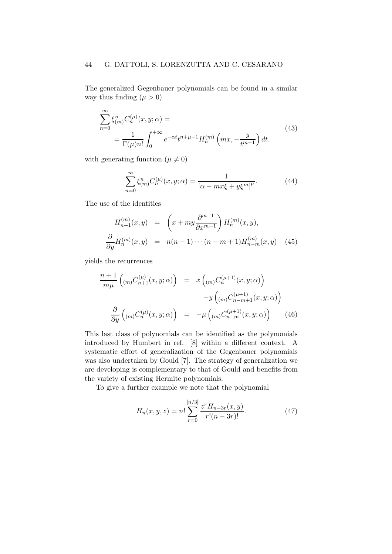#### 44 G. DATTOLI, S. LORENZUTTA AND C. CESARANO

The generalized Gegenbauer polynomials can be found in a similar way thus finding  $(\mu > 0)$ 

$$
\sum_{n=0}^{\infty} \xi_{(m)}^n C_n^{(\mu)}(x, y; \alpha) =
$$
\n
$$
= \frac{1}{\Gamma(\mu)n!} \int_0^{+\infty} e^{-\alpha t} t^{n+\mu-1} H_n^{(m)}\left(mx, -\frac{y}{t^{m-1}}\right) dt.
$$
\n(43)

with generating function ( $\mu \neq 0$ )

$$
\sum_{n=0}^{\infty} \xi_{(m)}^n C_n^{(\mu)}(x, y; \alpha) = \frac{1}{[\alpha - m x \xi + y \xi^m]^{\mu}}.
$$
 (44)

The use of the identities

$$
H_{n+1}^{(m)}(x,y) = \left(x + my \frac{\partial^{m-1}}{\partial x^{m-1}}\right) H_n^{(m)}(x,y),
$$
  

$$
\frac{\partial}{\partial y} H_n^{(m)}(x,y) = n(n-1)\cdots(n-m+1)H_{n-m}^{(m)}(x,y)
$$
(45)

yields the recurrences

$$
\frac{n+1}{m\mu} \left( \binom{m}{m} C_{n+1}^{(\mu)}(x, y; \alpha) \right) = x \left( \binom{m}{m} C_n^{(\mu+1)}(x, y; \alpha) \right)
$$

$$
-y \left( \binom{m}{m} C_{n-m+1}^{(\mu+1)}(x, y; \alpha) \right)
$$

$$
\frac{\partial}{\partial y} \left( \binom{m}{m} C_n^{(\mu)}(x, y; \alpha) \right) = -\mu \left( \binom{m}{m} C_{n-m}^{(\mu+1)}(x, y; \alpha) \right) \tag{46}
$$

This last class of polynomials can be identified as the polynomials introduced by Humbert in ref. [8] within a different context. A systematic effort of generalization of the Gegenbauer polynomials was also undertaken by Gould [7]. The strategy of generalization we are developing is complementary to that of Gould and benefits from the variety of existing Hermite polynomials.

To give a further example we note that the polynomial

$$
H_n(x, y, z) = n! \sum_{r=0}^{[n/3]} \frac{z^r H_{n-3r}(x, y)}{r!(n-3r)!}.
$$
 (47)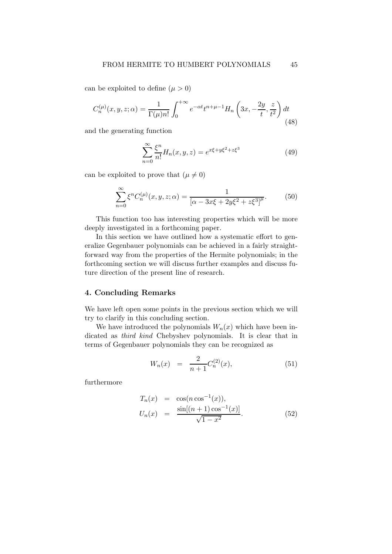can be exploited to define  $(\mu > 0)$ 

$$
C_n^{(\mu)}(x,y,z;\alpha) = \frac{1}{\Gamma(\mu)n!} \int_0^{+\infty} e^{-\alpha t} t^{n+\mu-1} H_n\left(3x, -\frac{2y}{t}, \frac{z}{t^2}\right) dt
$$
\n(48)

and the generating function

$$
\sum_{n=0}^{\infty} \frac{\xi^n}{n!} H_n(x, y, z) = e^{x\xi + y\xi^2 + z\xi^3}
$$
 (49)

can be exploited to prove that  $(\mu \neq 0)$ 

$$
\sum_{n=0}^{\infty} \xi^n C_n^{(\mu)}(x, y, z; \alpha) = \frac{1}{[\alpha - 3x\xi + 2y\xi^2 + z\xi^3]^{\mu}}.
$$
 (50)

This function too has interesting properties which will be more deeply investigated in a forthcoming paper.

In this section we have outlined how a systematic effort to generalize Gegenbauer polynomials can be achieved in a fairly straightforward way from the properties of the Hermite polynomials; in the forthcoming section we will discuss further examples and discuss future direction of the present line of research.

### 4. Concluding Remarks

We have left open some points in the previous section which we will try to clarify in this concluding section.

We have introduced the polynomials  $W_n(x)$  which have been indicated as third kind Chebyshev polynomials. It is clear that in terms of Gegenbauer polynomials they can be recognized as

$$
W_n(x) = \frac{2}{n+1} C_n^{(2)}(x), \tag{51}
$$

furthermore

$$
T_n(x) = \cos(n \cos^{-1}(x)),
$$
  
\n
$$
U_n(x) = \frac{\sin[(n+1)\cos^{-1}(x)]}{\sqrt{1-x^2}}.
$$
\n(52)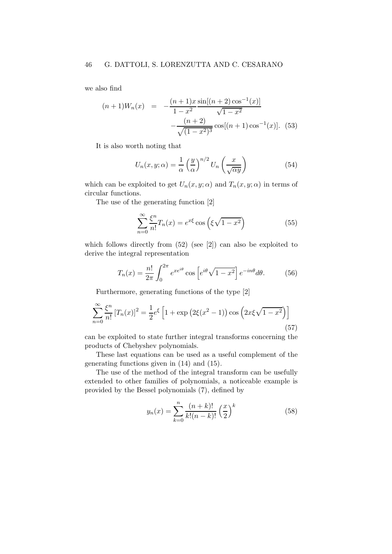we also find

$$
(n+1)W_n(x) = -\frac{(n+1)x \sin[(n+2)\cos^{-1}(x)]}{1-x^2} -\frac{(n+2)}{\sqrt{(1-x^2)^3}} \cos[(n+1)\cos^{-1}(x)].
$$
 (53)

It is also worth noting that

$$
U_n(x, y; \alpha) = \frac{1}{\alpha} \left(\frac{y}{\alpha}\right)^{n/2} U_n\left(\frac{x}{\sqrt{\alpha y}}\right)
$$
(54)

which can be exploited to get  $U_n(x, y; \alpha)$  and  $T_n(x, y; \alpha)$  in terms of circular functions.

The use of the generating function [2]

$$
\sum_{n=0}^{\infty} \frac{\xi^n}{n!} T_n(x) = e^{x\xi} \cos\left(\xi \sqrt{1 - x^2}\right)
$$
 (55)

which follows directly from  $(52)$  (see [2]) can also be exploited to derive the integral representation

$$
T_n(x) = \frac{n!}{2\pi} \int_0^{2\pi} e^{xe^{i\theta}} \cos\left[e^{i\theta}\sqrt{1-x^2}\right] e^{-in\theta} d\theta. \tag{56}
$$

Furthermore, generating functions of the type [2]

$$
\sum_{n=0}^{\infty} \frac{\xi^n}{n!} [T_n(x)]^2 = \frac{1}{2} e^{\xi} \left[ 1 + \exp \left( 2\xi (x^2 - 1) \right) \cos \left( 2x \xi \sqrt{1 - x^2} \right) \right]
$$
(57)

can be exploited to state further integral transforms concerning the products of Chebyshev polynomials.

These last equations can be used as a useful complement of the generating functions given in (14) and (15).

The use of the method of the integral transform can be usefully extended to other families of polynomials, a noticeable example is provided by the Bessel polynomials (7), defined by

$$
y_n(x) = \sum_{k=0}^{n} \frac{(n+k)!}{k!(n-k)!} \left(\frac{x}{2}\right)^k
$$
 (58)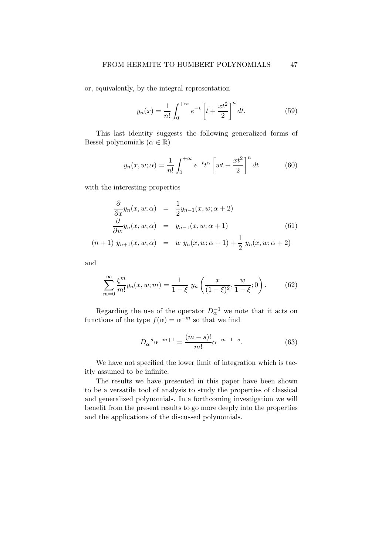or, equivalently, by the integral representation

$$
y_n(x) = \frac{1}{n!} \int_0^{+\infty} e^{-t} \left[ t + \frac{xt^2}{2} \right]^n dt.
$$
 (59)

This last identity suggests the following generalized forms of Bessel polynomials  $(\alpha \in \mathbb{R})$ 

$$
y_n(x, w; \alpha) = \frac{1}{n!} \int_0^{+\infty} e^{-t} t^{\alpha} \left[ wt + \frac{xt^2}{2} \right]^n dt \tag{60}
$$

with the interesting properties

$$
\frac{\partial}{\partial x} y_n(x, w; \alpha) = \frac{1}{2} y_{n-1}(x, w; \alpha + 2)
$$
\n
$$
\frac{\partial}{\partial w} y_n(x, w; \alpha) = y_{n-1}(x, w; \alpha + 1)
$$
\n
$$
(n+1) y_{n+1}(x, w; \alpha) = w y_n(x, w; \alpha + 1) + \frac{1}{2} y_n(x, w; \alpha + 2)
$$
\n(61)

and

$$
\sum_{m=0}^{\infty} \frac{\xi^m}{m!} y_n(x, w; m) = \frac{1}{1 - \xi} y_n\left(\frac{x}{(1 - \xi)^2}, \frac{w}{1 - \xi}; 0\right).
$$
 (62)

Regarding the use of the operator  $D_{\alpha}^{-1}$  we note that it acts on functions of the type  $f(\alpha) = \alpha^{-m}$  so that we find

$$
D_{\alpha}^{-s} \alpha^{-m+1} = \frac{(m-s)!}{m!} \alpha^{-m+1-s}.
$$
 (63)

We have not specified the lower limit of integration which is tacitly assumed to be infinite.

The results we have presented in this paper have been shown to be a versatile tool of analysis to study the properties of classical and generalized polynomials. In a forthcoming investigation we will benefit from the present results to go more deeply into the properties and the applications of the discussed polynomials.